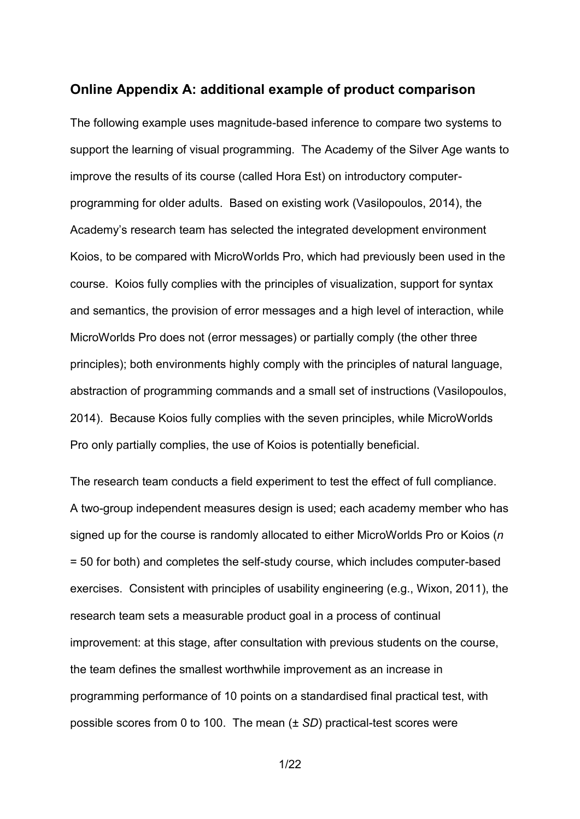#### **Online Appendix A: additional example of product comparison**

The following example uses magnitude-based inference to compare two systems to support the learning of visual programming. The Academy of the Silver Age wants to improve the results of its course (called Hora Est) on introductory computerprogramming for older adults. Based on existing work (Vasilopoulos, 2014), the Academy's research team has selected the integrated development environment Koios, to be compared with MicroWorlds Pro, which had previously been used in the course. Koios fully complies with the principles of visualization, support for syntax and semantics, the provision of error messages and a high level of interaction, while MicroWorlds Pro does not (error messages) or partially comply (the other three principles); both environments highly comply with the principles of natural language, abstraction of programming commands and a small set of instructions (Vasilopoulos, 2014). Because Koios fully complies with the seven principles, while MicroWorlds Pro only partially complies, the use of Koios is potentially beneficial.

The research team conducts a field experiment to test the effect of full compliance. A two-group independent measures design is used; each academy member who has signed up for the course is randomly allocated to either MicroWorlds Pro or Koios (*n* = 50 for both) and completes the self-study course, which includes computer-based exercises. Consistent with principles of usability engineering (e.g., Wixon, 2011), the research team sets a measurable product goal in a process of continual improvement: at this stage, after consultation with previous students on the course, the team defines the smallest worthwhile improvement as an increase in programming performance of 10 points on a standardised final practical test, with possible scores from 0 to 100. The mean (± *SD*) practical-test scores were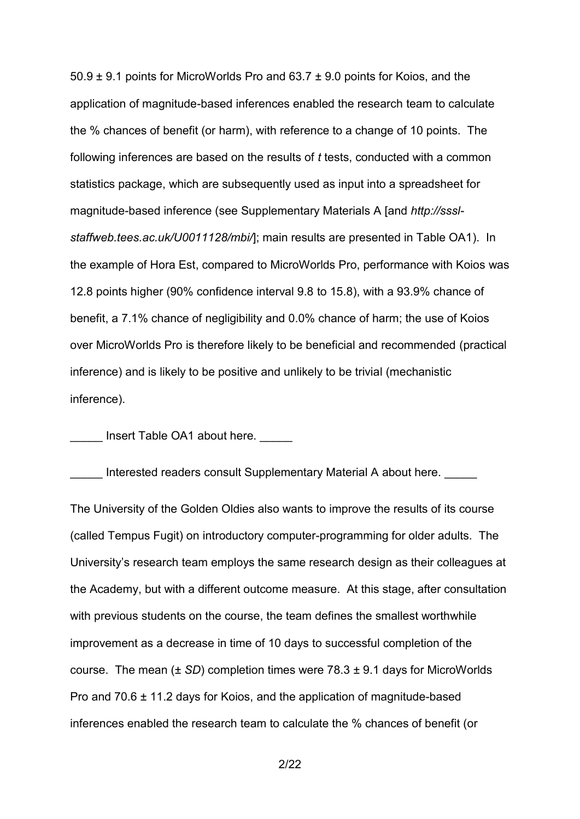50.9 ± 9.1 points for MicroWorlds Pro and 63.7 ± 9.0 points for Koios, and the application of magnitude-based inferences enabled the research team to calculate the % chances of benefit (or harm), with reference to a change of 10 points. The following inferences are based on the results of *t* tests, conducted with a common statistics package, which are subsequently used as input into a spreadsheet for magnitude-based inference (see Supplementary Materials A [and *http://ssslstaffweb.tees.ac.uk/U0011128/mbi/*]; main results are presented in Table OA1). In the example of Hora Est, compared to MicroWorlds Pro, performance with Koios was 12.8 points higher (90% confidence interval 9.8 to 15.8), with a 93.9% chance of benefit, a 7.1% chance of negligibility and 0.0% chance of harm; the use of Koios over MicroWorlds Pro is therefore likely to be beneficial and recommended (practical inference) and is likely to be positive and unlikely to be trivial (mechanistic inference).

Insert Table OA1 about here.

Interested readers consult Supplementary Material A about here. \_\_\_\_

The University of the Golden Oldies also wants to improve the results of its course (called Tempus Fugit) on introductory computer-programming for older adults. The University's research team employs the same research design as their colleagues at the Academy, but with a different outcome measure. At this stage, after consultation with previous students on the course, the team defines the smallest worthwhile improvement as a decrease in time of 10 days to successful completion of the course. The mean (± *SD*) completion times were 78.3 ± 9.1 days for MicroWorlds Pro and 70.6 ± 11.2 days for Koios, and the application of magnitude-based inferences enabled the research team to calculate the % chances of benefit (or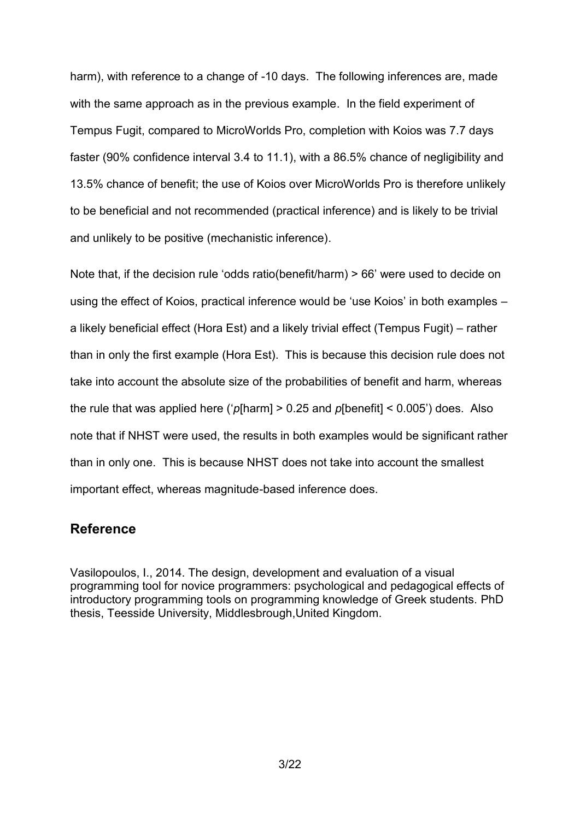harm), with reference to a change of -10 days. The following inferences are, made with the same approach as in the previous example. In the field experiment of Tempus Fugit, compared to MicroWorlds Pro, completion with Koios was 7.7 days faster (90% confidence interval 3.4 to 11.1), with a 86.5% chance of negligibility and 13.5% chance of benefit; the use of Koios over MicroWorlds Pro is therefore unlikely to be beneficial and not recommended (practical inference) and is likely to be trivial and unlikely to be positive (mechanistic inference).

Note that, if the decision rule 'odds ratio(benefit/harm) > 66' were used to decide on using the effect of Koios, practical inference would be 'use Koios' in both examples – a likely beneficial effect (Hora Est) and a likely trivial effect (Tempus Fugit) – rather than in only the first example (Hora Est). This is because this decision rule does not take into account the absolute size of the probabilities of benefit and harm, whereas the rule that was applied here ('*p*[harm] > 0.25 and *p*[benefit] < 0.005') does. Also note that if NHST were used, the results in both examples would be significant rather than in only one. This is because NHST does not take into account the smallest important effect, whereas magnitude-based inference does.

## **Reference**

Vasilopoulos, I., 2014. The design, development and evaluation of a visual programming tool for novice programmers: psychological and pedagogical effects of introductory programming tools on programming knowledge of Greek students. PhD thesis, Teesside University, Middlesbrough,United Kingdom.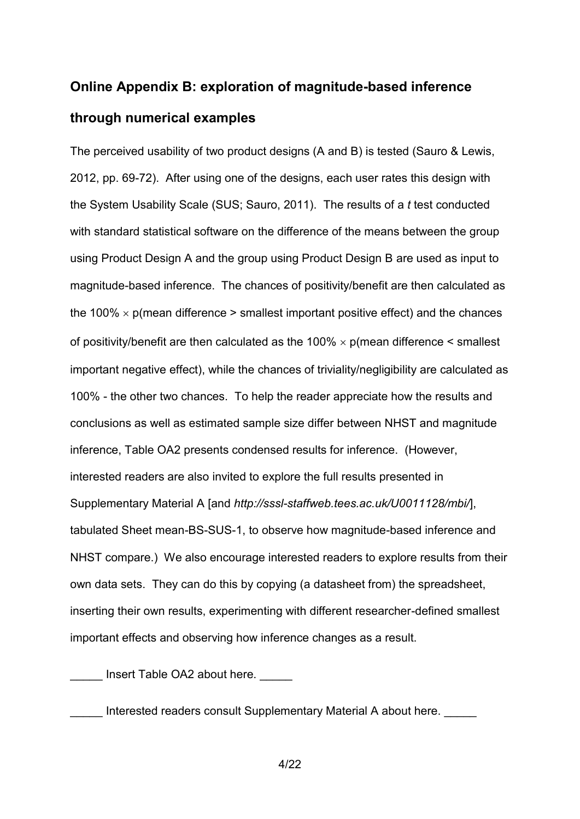# **Online Appendix B: exploration of magnitude-based inference through numerical examples**

The perceived usability of two product designs (A and B) is tested (Sauro & Lewis, 2012, pp. 69-72). After using one of the designs, each user rates this design with the System Usability Scale (SUS; Sauro, 2011). The results of a *t* test conducted with standard statistical software on the difference of the means between the group using Product Design A and the group using Product Design B are used as input to magnitude-based inference. The chances of positivity/benefit are then calculated as the 100%  $\times$  p(mean difference  $>$  smallest important positive effect) and the chances of positivity/benefit are then calculated as the  $100\% \times p$  (mean difference  $\le$  smallest important negative effect), while the chances of triviality/negligibility are calculated as 100% - the other two chances. To help the reader appreciate how the results and conclusions as well as estimated sample size differ between NHST and magnitude inference, Table OA2 presents condensed results for inference. (However, interested readers are also invited to explore the full results presented in Supplementary Material A [and *http://sssl-staffweb.tees.ac.uk/U0011128/mbi/*], tabulated Sheet mean-BS-SUS-1, to observe how magnitude-based inference and NHST compare.) We also encourage interested readers to explore results from their own data sets. They can do this by copying (a datasheet from) the spreadsheet, inserting their own results, experimenting with different researcher-defined smallest important effects and observing how inference changes as a result.

Insert Table OA2 about here.

Interested readers consult Supplementary Material A about here.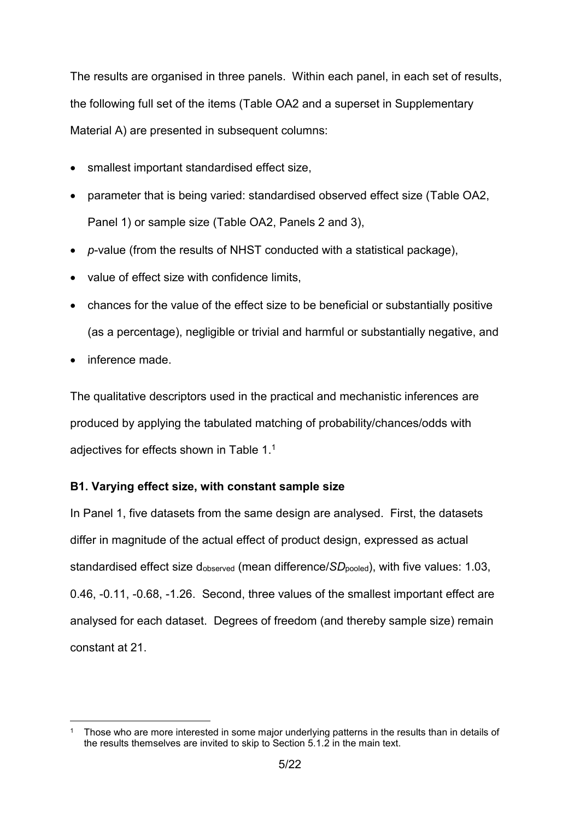The results are organised in three panels. Within each panel, in each set of results, the following full set of the items (Table OA2 and a superset in Supplementary Material A) are presented in subsequent columns:

- smallest important standardised effect size,
- parameter that is being varied: standardised observed effect size (Table OA2, Panel 1) or sample size (Table OA2, Panels 2 and 3),
- *p*-value (from the results of NHST conducted with a statistical package),
- value of effect size with confidence limits,
- chances for the value of the effect size to be beneficial or substantially positive (as a percentage), negligible or trivial and harmful or substantially negative, and
- inference made.

The qualitative descriptors used in the practical and mechanistic inferences are produced by applying the tabulated matching of probability/chances/odds with adjectives for effects shown in Table 1.<sup>1</sup>

## **B1. Varying effect size, with constant sample size**

In Panel 1, five datasets from the same design are analysed. First, the datasets differ in magnitude of the actual effect of product design, expressed as actual standardised effect size d<sub>observed</sub> (mean difference/*SD*<sub>pooled</sub>), with five values: 1.03, 0.46, -0.11, -0.68, -1.26. Second, three values of the smallest important effect are analysed for each dataset. Degrees of freedom (and thereby sample size) remain constant at 21.

<sup>1</sup> 1 Those who are more interested in some major underlying patterns in the results than in details of the results themselves are invited to skip to Section 5.1.2 in the main text.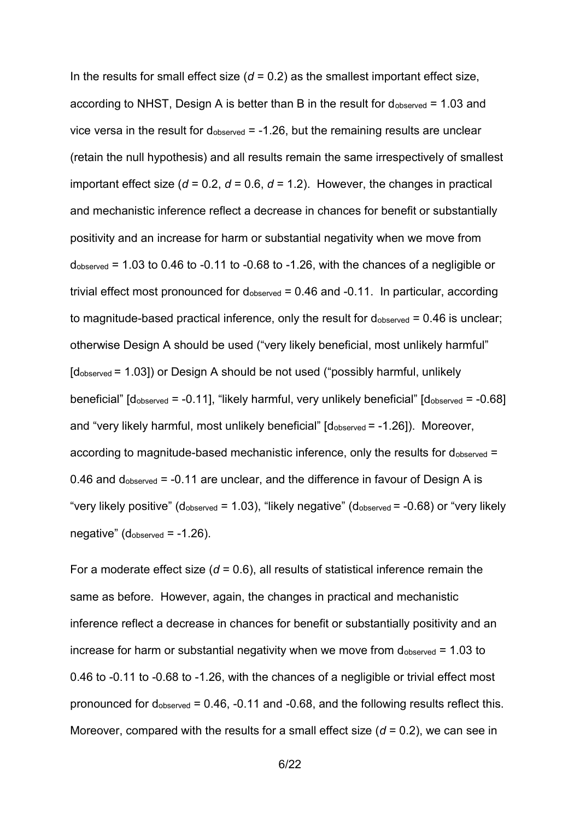In the results for small effect size  $(d = 0.2)$  as the smallest important effect size, according to NHST, Design A is better than B in the result for  $d_{observed} = 1.03$  and vice versa in the result for dobserved = -1.26, but the remaining results are unclear (retain the null hypothesis) and all results remain the same irrespectively of smallest important effect size (*d* = 0.2, *d* = 0.6, *d* = 1.2). However, the changes in practical and mechanistic inference reflect a decrease in chances for benefit or substantially positivity and an increase for harm or substantial negativity when we move from  $d_{observed}$  = 1.03 to 0.46 to -0.11 to -0.68 to -1.26, with the chances of a negligible or trivial effect most pronounced for  $d_{\text{observed}} = 0.46$  and  $-0.11$ . In particular, according to magnitude-based practical inference, only the result for  $d_{observed} = 0.46$  is unclear; otherwise Design A should be used ("very likely beneficial, most unlikely harmful" [dobserved = 1.03]) or Design A should be not used ("possibly harmful, unlikely beneficial"  $\lceil d_{\text{observed}} = -0.11 \rceil$ , "likely harmful, very unlikely beneficial"  $\lceil d_{\text{observed}} = -0.68 \rceil$ and "very likely harmful, most unlikely beneficial" [dobserved = -1.26]). Moreover, according to magnitude-based mechanistic inference, only the results for  $d_{\text{observed}} =$ 0.46 and dobserved = -0.11 are unclear, and the difference in favour of Design A is "very likely positive" (d<sub>observed</sub> = 1.03), "likely negative" (d<sub>observed</sub> =  $-0.68$ ) or "very likely negative" (dobserved = -1.26).

For a moderate effect size (*d* = 0.6), all results of statistical inference remain the same as before. However, again, the changes in practical and mechanistic inference reflect a decrease in chances for benefit or substantially positivity and an increase for harm or substantial negativity when we move from  $d_{observed} = 1.03$  to 0.46 to -0.11 to -0.68 to -1.26, with the chances of a negligible or trivial effect most pronounced for dobserved = 0.46, -0.11 and -0.68, and the following results reflect this. Moreover, compared with the results for a small effect size (*d* = 0.2), we can see in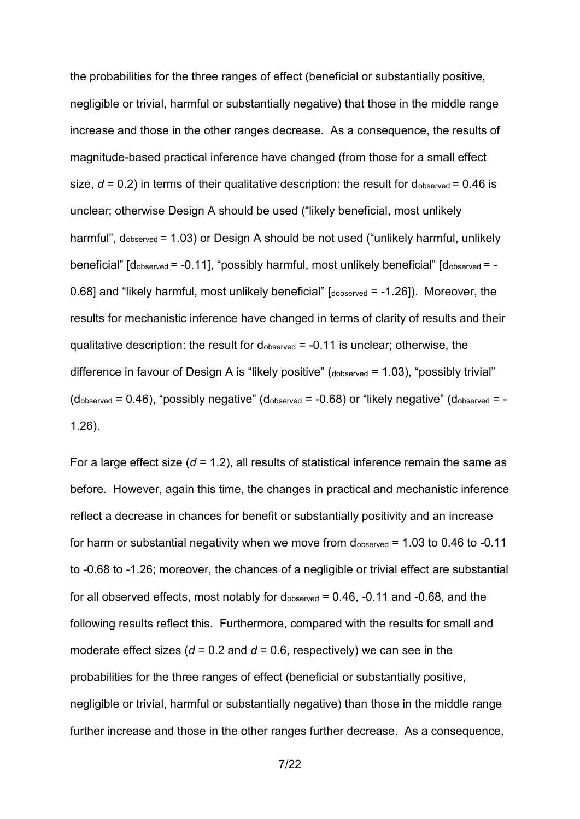the probabilities for the three ranges of effect (beneficial or substantially positive, negligible or trivial, harmful or substantially negative) that those in the middle range increase and those in the other ranges decrease. As a consequence, the results of magnitude-based practical inference have changed (from those for a small effect size,  $d = 0.2$ ) in terms of their qualitative description: the result for  $d_{\text{observed}} = 0.46$  is unclear; otherwise Design A should be used ("likely beneficial, most unlikely harmful", dobserved = 1.03) or Design A should be not used ("unlikely harmful, unlikely beneficial"  $\lceil d_{\text{observed}} = -0.11 \rceil$ , "possibly harmful, most unlikely beneficial"  $\lceil d_{\text{observed}} = -1 \rceil$ 0.68] and "likely harmful, most unlikely beneficial" [dobserved = -1.26]). Moreover, the results for mechanistic inference have changed in terms of clarity of results and their qualitative description: the result for  $d_{\text{observed}} = -0.11$  is unclear; otherwise, the difference in favour of Design A is "likely positive" (dobserved = 1.03), "possibly trivial"  $(d_{observed} = 0.46)$ , "possibly negative"  $(d_{observed} = -0.68)$  or "likely negative"  $(d_{observed} = -1.68)$ 1.26).

For a large effect size (*d* = 1.2), all results of statistical inference remain the same as before. However, again this time, the changes in practical and mechanistic inference reflect a decrease in chances for benefit or substantially positivity and an increase for harm or substantial negativity when we move from dobserved = 1.03 to 0.46 to -0.11 to -0.68 to -1.26; moreover, the chances of a negligible or trivial effect are substantial for all observed effects, most notably for  $d_{\text{observed}} = 0.46$ , -0.11 and -0.68, and the following results reflect this. Furthermore, compared with the results for small and moderate effect sizes ( $d = 0.2$  and  $d = 0.6$ , respectively) we can see in the probabilities for the three ranges of effect (beneficial or substantially positive, negligible or trivial, harmful or substantially negative) than those in the middle range further increase and those in the other ranges further decrease. As a consequence,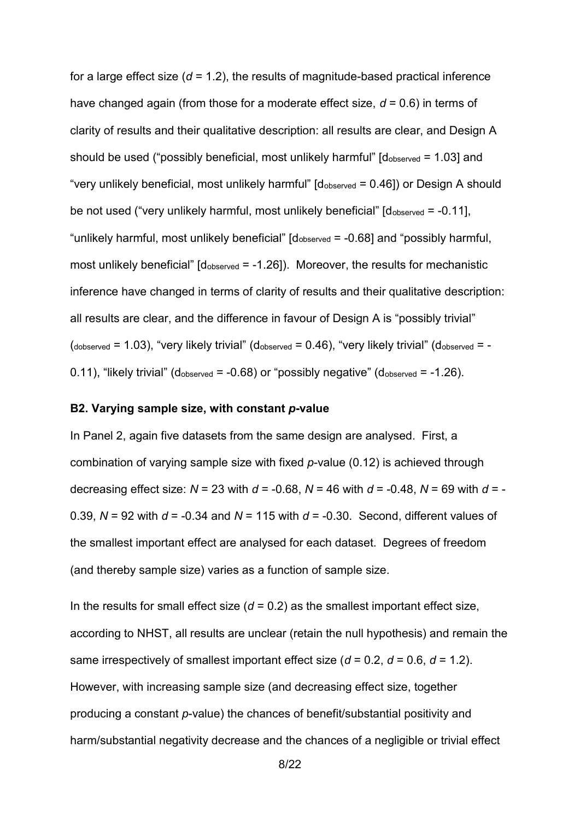for a large effect size  $(d = 1.2)$ , the results of magnitude-based practical inference have changed again (from those for a moderate effect size, *d* = 0.6) in terms of clarity of results and their qualitative description: all results are clear, and Design A should be used ("possibly beneficial, most unlikely harmful"  $\left[\frac{d_{\text{observed}}}{d_{\text{observed}}} = 1.03\right]$  and "very unlikely beneficial, most unlikely harmful" [dobserved = 0.46]) or Design A should be not used ("very unlikely harmful, most unlikely beneficial"  $\beta$  dobserved = -0.11], "unlikely harmful, most unlikely beneficial"  $\left[\frac{d_{\text{observed}}}{d_{\text{observed}}} - 0.68\right]$  and "possibly harmful, most unlikely beneficial"  $\lbrack \text{dobserved} = -1.26 \rbrack$ ). Moreover, the results for mechanistic inference have changed in terms of clarity of results and their qualitative description: all results are clear, and the difference in favour of Design A is "possibly trivial"  $(dobserved = 1.03)$ , "very likely trivial"  $(dobserved = 0.46)$ , "very likely trivial"  $(dobserved = -1.03)$ 0.11), "likely trivial" (dobserved  $= -0.68$ ) or "possibly negative" (dobserved  $= -1.26$ ).

#### **B2. Varying sample size, with constant** *p***-value**

In Panel 2, again five datasets from the same design are analysed. First, a combination of varying sample size with fixed *p*-value (0.12) is achieved through decreasing effect size: *N* = 23 with *d* = -0.68, *N* = 46 with *d* = -0.48, *N* = 69 with *d* = - 0.39, *N* = 92 with *d* = -0.34 and *N* = 115 with *d* = -0.30. Second, different values of the smallest important effect are analysed for each dataset. Degrees of freedom (and thereby sample size) varies as a function of sample size.

In the results for small effect size  $(d = 0.2)$  as the smallest important effect size, according to NHST, all results are unclear (retain the null hypothesis) and remain the same irrespectively of smallest important effect size (*d* = 0.2, *d* = 0.6, *d* = 1.2). However, with increasing sample size (and decreasing effect size, together producing a constant *p*-value) the chances of benefit/substantial positivity and harm/substantial negativity decrease and the chances of a negligible or trivial effect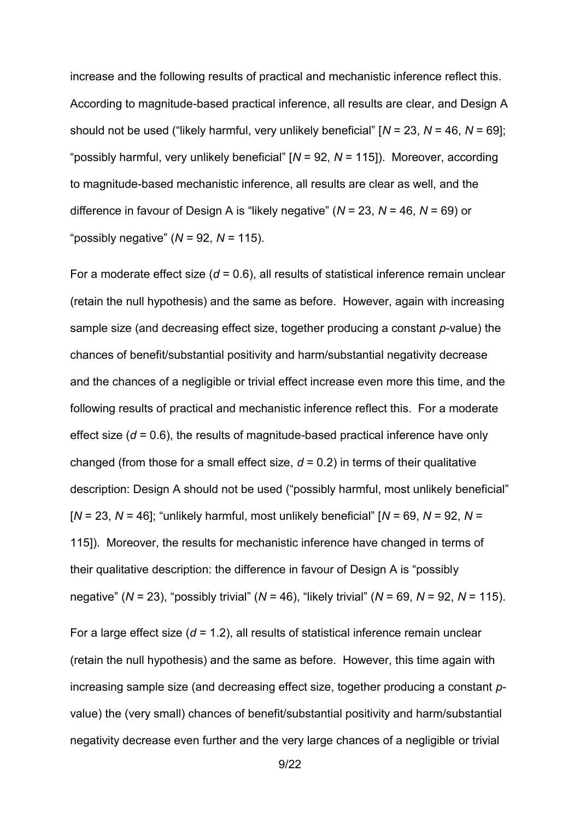increase and the following results of practical and mechanistic inference reflect this. According to magnitude-based practical inference, all results are clear, and Design A should not be used ("likely harmful, very unlikely beneficial" [*N* = 23, *N* = 46, *N* = 69]; "possibly harmful, very unlikely beneficial" [*N* = 92, *N* = 115]). Moreover, according to magnitude-based mechanistic inference, all results are clear as well, and the difference in favour of Design A is "likely negative" (*N* = 23, *N* = 46, *N* = 69) or "possibly negative" (*N* = 92, *N* = 115).

For a moderate effect size (*d* = 0.6), all results of statistical inference remain unclear (retain the null hypothesis) and the same as before. However, again with increasing sample size (and decreasing effect size, together producing a constant *p*-value) the chances of benefit/substantial positivity and harm/substantial negativity decrease and the chances of a negligible or trivial effect increase even more this time, and the following results of practical and mechanistic inference reflect this. For a moderate effect size  $(d = 0.6)$ , the results of magnitude-based practical inference have only changed (from those for a small effect size,  $d = 0.2$ ) in terms of their qualitative description: Design A should not be used ("possibly harmful, most unlikely beneficial" [*N* = 23, *N* = 46]; "unlikely harmful, most unlikely beneficial" [*N* = 69, *N* = 92, *N* = 115]). Moreover, the results for mechanistic inference have changed in terms of their qualitative description: the difference in favour of Design A is "possibly negative" (*N* = 23), "possibly trivial" (*N* = 46), "likely trivial" (*N* = 69, *N* = 92, *N* = 115).

For a large effect size (*d* = 1.2), all results of statistical inference remain unclear (retain the null hypothesis) and the same as before. However, this time again with increasing sample size (and decreasing effect size, together producing a constant *p*value) the (very small) chances of benefit/substantial positivity and harm/substantial negativity decrease even further and the very large chances of a negligible or trivial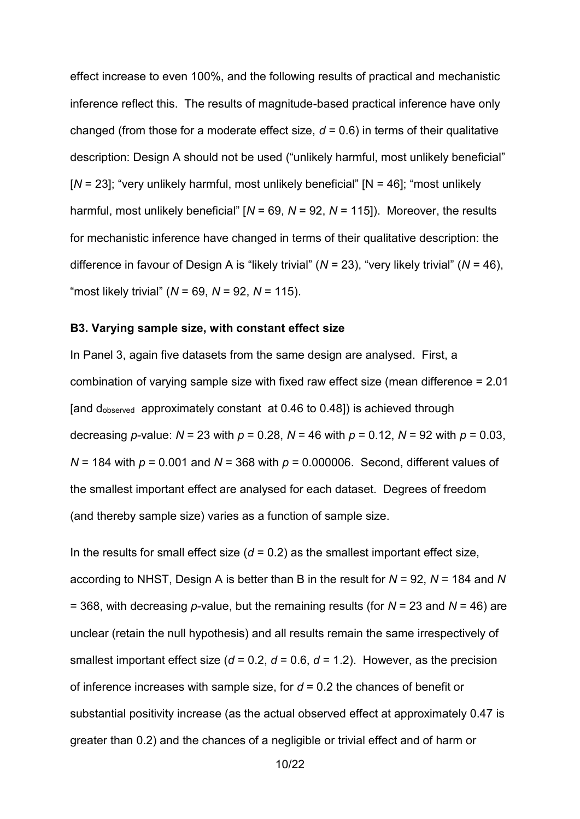effect increase to even 100%, and the following results of practical and mechanistic inference reflect this. The results of magnitude-based practical inference have only changed (from those for a moderate effect size,  $d = 0.6$ ) in terms of their qualitative description: Design A should not be used ("unlikely harmful, most unlikely beneficial" [*N* = 23]; "very unlikely harmful, most unlikely beneficial" [N = 46]; "most unlikely harmful, most unlikely beneficial" [*N* = 69, *N* = 92, *N* = 115]). Moreover, the results for mechanistic inference have changed in terms of their qualitative description: the difference in favour of Design A is "likely trivial" (*N* = 23), "very likely trivial" (*N* = 46), "most likely trivial" (*N* = 69, *N* = 92, *N* = 115).

#### **B3. Varying sample size, with constant effect size**

In Panel 3, again five datasets from the same design are analysed. First, a combination of varying sample size with fixed raw effect size (mean difference = 2.01 [and dobserved approximately constant at 0.46 to 0.48]) is achieved through decreasing *p*-value:  $N = 23$  with  $p = 0.28$ ,  $N = 46$  with  $p = 0.12$ ,  $N = 92$  with  $p = 0.03$ , *N* = 184 with *p* = 0.001 and *N* = 368 with *p* = 0.000006. Second, different values of the smallest important effect are analysed for each dataset. Degrees of freedom (and thereby sample size) varies as a function of sample size.

In the results for small effect size  $(d = 0.2)$  as the smallest important effect size, according to NHST, Design A is better than B in the result for *N* = 92, *N* = 184 and *N* = 368, with decreasing *p*-value, but the remaining results (for *N* = 23 and *N* = 46) are unclear (retain the null hypothesis) and all results remain the same irrespectively of smallest important effect size ( $d = 0.2$ ,  $d = 0.6$ ,  $d = 1.2$ ). However, as the precision of inference increases with sample size, for *d* = 0.2 the chances of benefit or substantial positivity increase (as the actual observed effect at approximately 0.47 is greater than 0.2) and the chances of a negligible or trivial effect and of harm or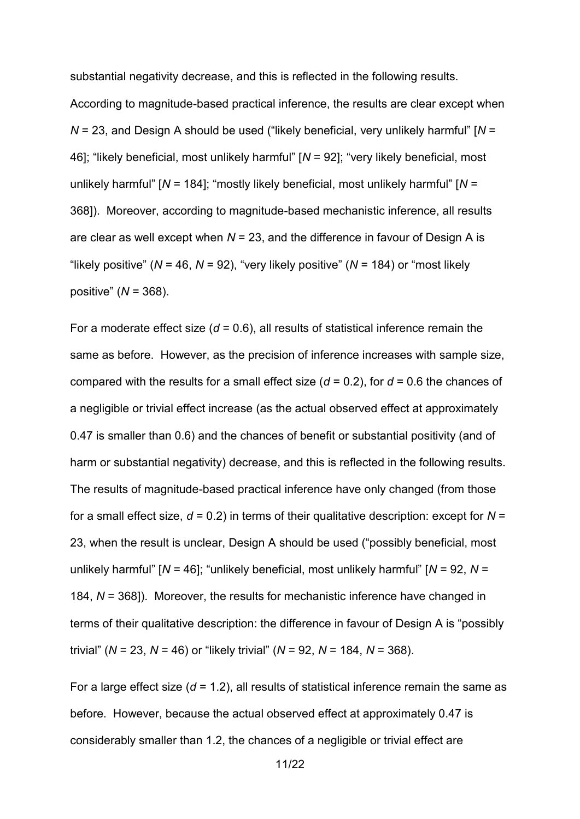substantial negativity decrease, and this is reflected in the following results. According to magnitude-based practical inference, the results are clear except when *N* = 23, and Design A should be used ("likely beneficial, very unlikely harmful" [*N* = 46]; "likely beneficial, most unlikely harmful" [*N* = 92]; "very likely beneficial, most unlikely harmful" [*N* = 184]; "mostly likely beneficial, most unlikely harmful" [*N* = 368]). Moreover, according to magnitude-based mechanistic inference, all results are clear as well except when *N* = 23, and the difference in favour of Design A is "likely positive" (*N* = 46, *N* = 92), "very likely positive" (*N* = 184) or "most likely positive" (*N* = 368).

For a moderate effect size  $(d = 0.6)$ , all results of statistical inference remain the same as before. However, as the precision of inference increases with sample size, compared with the results for a small effect size (*d* = 0.2), for *d* = 0.6 the chances of a negligible or trivial effect increase (as the actual observed effect at approximately 0.47 is smaller than 0.6) and the chances of benefit or substantial positivity (and of harm or substantial negativity) decrease, and this is reflected in the following results. The results of magnitude-based practical inference have only changed (from those for a small effect size,  $d = 0.2$ ) in terms of their qualitative description: except for  $N =$ 23, when the result is unclear, Design A should be used ("possibly beneficial, most unlikely harmful" [*N* = 46]; "unlikely beneficial, most unlikely harmful" [*N* = 92, *N* = 184, *N* = 368]). Moreover, the results for mechanistic inference have changed in terms of their qualitative description: the difference in favour of Design A is "possibly trivial" (*N* = 23, *N* = 46) or "likely trivial" (*N* = 92, *N* = 184, *N* = 368).

For a large effect size (*d* = 1.2), all results of statistical inference remain the same as before. However, because the actual observed effect at approximately 0.47 is considerably smaller than 1.2, the chances of a negligible or trivial effect are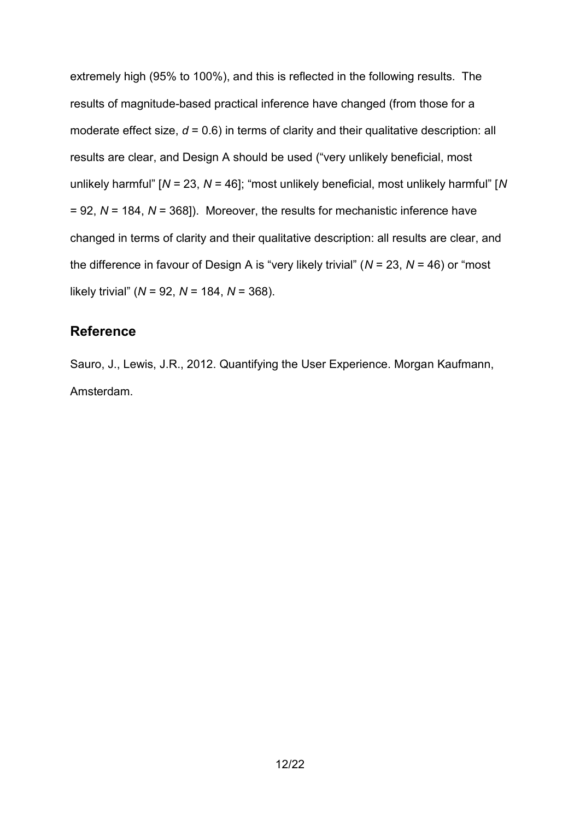extremely high (95% to 100%), and this is reflected in the following results. The results of magnitude-based practical inference have changed (from those for a moderate effect size,  $d = 0.6$ ) in terms of clarity and their qualitative description: all results are clear, and Design A should be used ("very unlikely beneficial, most unlikely harmful" [*N* = 23, *N* = 46]; "most unlikely beneficial, most unlikely harmful" [*N* = 92, *N* = 184, *N* = 368]). Moreover, the results for mechanistic inference have changed in terms of clarity and their qualitative description: all results are clear, and the difference in favour of Design A is "very likely trivial" (*N* = 23, *N* = 46) or "most likely trivial" (*N* = 92, *N* = 184, *N* = 368).

## **Reference**

Sauro, J., Lewis, J.R., 2012. Quantifying the User Experience. Morgan Kaufmann, Amsterdam.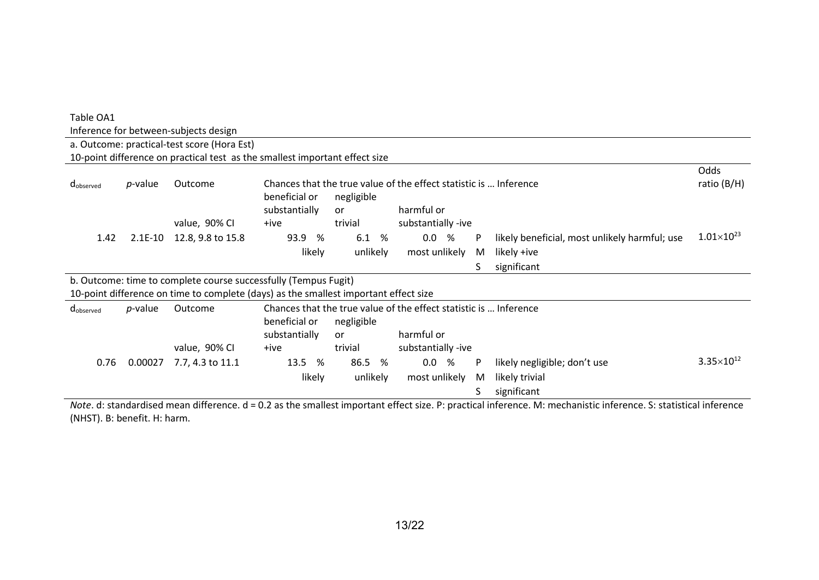| Table OA1             |                 |                                                                                      |                                           |            |                                                                   |                                                                                                                                                                                                                                                                                   |                       |
|-----------------------|-----------------|--------------------------------------------------------------------------------------|-------------------------------------------|------------|-------------------------------------------------------------------|-----------------------------------------------------------------------------------------------------------------------------------------------------------------------------------------------------------------------------------------------------------------------------------|-----------------------|
|                       |                 | Inference for between-subjects design                                                |                                           |            |                                                                   |                                                                                                                                                                                                                                                                                   |                       |
|                       |                 | a. Outcome: practical-test score (Hora Est)                                          |                                           |            |                                                                   |                                                                                                                                                                                                                                                                                   |                       |
|                       |                 | 10-point difference on practical test as the smallest important effect size          |                                           |            |                                                                   |                                                                                                                                                                                                                                                                                   |                       |
|                       |                 |                                                                                      |                                           |            |                                                                   |                                                                                                                                                                                                                                                                                   | Odds                  |
| d <sub>observed</sub> | <i>p</i> -value | Outcome                                                                              |                                           |            | Chances that the true value of the effect statistic is  Inference |                                                                                                                                                                                                                                                                                   | ratio (B/H)           |
|                       |                 |                                                                                      | beneficial or                             | negligible |                                                                   |                                                                                                                                                                                                                                                                                   |                       |
|                       |                 |                                                                                      | substantially                             | or         | harmful or                                                        |                                                                                                                                                                                                                                                                                   |                       |
|                       |                 | value, 90% CI                                                                        | +ive                                      | trivial    | substantially -ive                                                |                                                                                                                                                                                                                                                                                   |                       |
| 1.42                  | $2.1E-10$       | 12.8, 9.8 to 15.8                                                                    | 93.9<br>%                                 | 6.1<br>%   | 0.0 %<br>P                                                        | likely beneficial, most unlikely harmful; use                                                                                                                                                                                                                                     | $1.01\times10^{23}$   |
|                       |                 |                                                                                      | likely                                    | unlikely   | most unlikely<br>M                                                | likely +ive                                                                                                                                                                                                                                                                       |                       |
|                       |                 |                                                                                      |                                           |            | S                                                                 | significant                                                                                                                                                                                                                                                                       |                       |
|                       |                 | b. Outcome: time to complete course successfully (Tempus Fugit)                      |                                           |            |                                                                   |                                                                                                                                                                                                                                                                                   |                       |
|                       |                 | 10-point difference on time to complete (days) as the smallest important effect size |                                           |            |                                                                   |                                                                                                                                                                                                                                                                                   |                       |
| dobserved             | <i>p</i> -value | Outcome                                                                              |                                           |            | Chances that the true value of the effect statistic is  Inference |                                                                                                                                                                                                                                                                                   |                       |
|                       |                 |                                                                                      | beneficial or                             | negligible |                                                                   |                                                                                                                                                                                                                                                                                   |                       |
|                       |                 |                                                                                      | substantially                             | or         | harmful or                                                        |                                                                                                                                                                                                                                                                                   |                       |
|                       |                 | value, 90% CI                                                                        | +ive                                      | trivial    | substantially -ive                                                |                                                                                                                                                                                                                                                                                   |                       |
| 0.76                  | 0.00027         | 7.7, 4.3 to 11.1                                                                     | 13.5<br>%                                 | 86.5<br>%  | 0.0 %<br>P                                                        | likely negligible; don't use                                                                                                                                                                                                                                                      | $3.35 \times 10^{12}$ |
|                       |                 |                                                                                      | likely                                    | unlikely   | most unlikely<br>M                                                | likely trivial                                                                                                                                                                                                                                                                    |                       |
|                       |                 |                                                                                      |                                           |            |                                                                   | significant                                                                                                                                                                                                                                                                       |                       |
|                       |                 | 1.60                                                                                 | $\sim$ $\sim$ $\sim$ $\sim$ $\sim$ $\sim$ |            |                                                                   | <b>The State of the Contract of the Contract of the Contract of the Contract of the Contract of the Contract of the Contract of the Contract of the Contract of the Contract of the Contract of the Contract of the Contract of </b><br>$\sigma$ . The set of the set of $\sigma$ |                       |

*Note*. d: standardised mean difference. d = 0.2 as the smallest important effect size. P: practical inference. M: mechanistic inference. S: statistical inference (NHST). B: benefit. H: harm.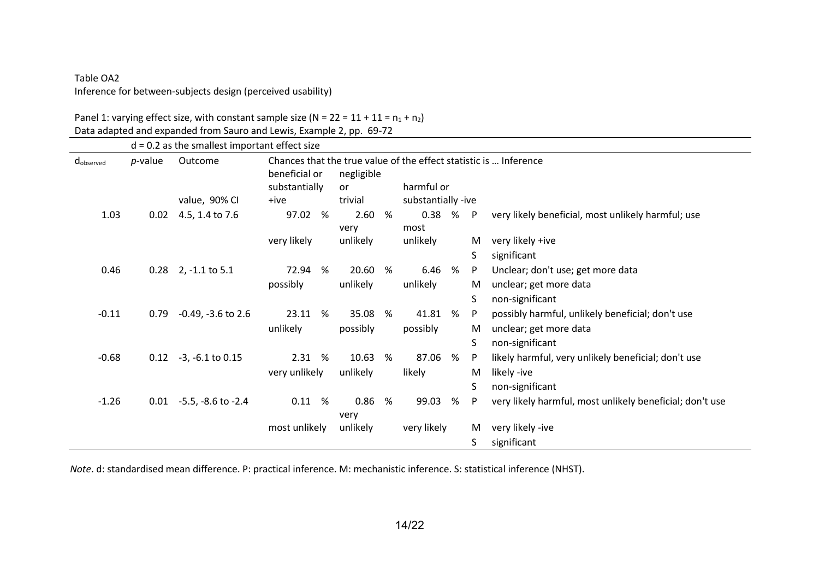## Table OA2 Inference for between-subjects design (perceived usability)

|  |  |  |  |  |  | Panel 1: varying effect size, with constant sample size ( $N = 22 = 11 + 11 = n_1 + n_2$ ) |  |
|--|--|--|--|--|--|--------------------------------------------------------------------------------------------|--|
|  |  |  |  |  |  |                                                                                            |  |

Data adapted and expanded from Sauro and Lewis, Example 2, pp. 69-72

|           |            | $d = 0.2$ as the smallest important effect size |                                |   |                         |   |                    |   |              |                                                                   |
|-----------|------------|-------------------------------------------------|--------------------------------|---|-------------------------|---|--------------------|---|--------------|-------------------------------------------------------------------|
| dobserved | $p$ -value | Outcome                                         | beneficial or<br>substantially |   | negligible<br><b>or</b> |   | harmful or         |   |              | Chances that the true value of the effect statistic is  Inference |
|           |            | value, 90% CI                                   | +ive                           |   | trivial                 |   | substantially -ive |   |              |                                                                   |
| 1.03      | 0.02       | 4.5, 1.4 to 7.6                                 | 97.02                          | % | 2.60<br>very            | % | 0.38 %<br>most     |   | $\mathsf{P}$ | very likely beneficial, most unlikely harmful; use                |
|           |            |                                                 | very likely                    |   | unlikely                |   | unlikely           |   | M            | very likely +ive                                                  |
|           |            |                                                 |                                |   |                         |   |                    |   | S            | significant                                                       |
| 0.46      |            | $0.28$ 2, -1.1 to 5.1                           | 72.94                          | % | 20.60                   | % | 6.46 %             |   | P            | Unclear; don't use; get more data                                 |
|           |            |                                                 | possibly                       |   | unlikely                |   | unlikely           |   | M            | unclear; get more data                                            |
|           |            |                                                 |                                |   |                         |   |                    |   | S            | non-significant                                                   |
| $-0.11$   | 0.79       | $-0.49$ , $-3.6$ to 2.6                         | 23.11                          | % | 35.08                   | % | 41.81              | % | P            | possibly harmful, unlikely beneficial; don't use                  |
|           |            |                                                 | unlikely                       |   | possibly                |   | possibly           |   | M            | unclear; get more data                                            |
|           |            |                                                 |                                |   |                         |   |                    |   | S            | non-significant                                                   |
| $-0.68$   |            | $0.12 -3$ , $-6.1$ to $0.15$                    | 2.31 %                         |   | 10.63                   | % | 87.06              | ℅ | P            | likely harmful, very unlikely beneficial; don't use               |
|           |            |                                                 | very unlikely                  |   | unlikely                |   | likely             |   | M            | likely -ive                                                       |
|           |            |                                                 |                                |   |                         |   |                    |   | S            | non-significant                                                   |
| $-1.26$   |            | $0.01 -5.5$ , $-8.6$ to $-2.4$                  | 0.11 %                         |   | 0.86<br>very            | % | 99.03              | ℅ | P            | very likely harmful, most unlikely beneficial; don't use          |
|           |            |                                                 | most unlikely                  |   | unlikely                |   | very likely        |   | M            | very likely -ive                                                  |
|           |            |                                                 |                                |   |                         |   |                    |   | S            | significant                                                       |

*Note*. d: standardised mean difference. P: practical inference. M: mechanistic inference. S: statistical inference (NHST).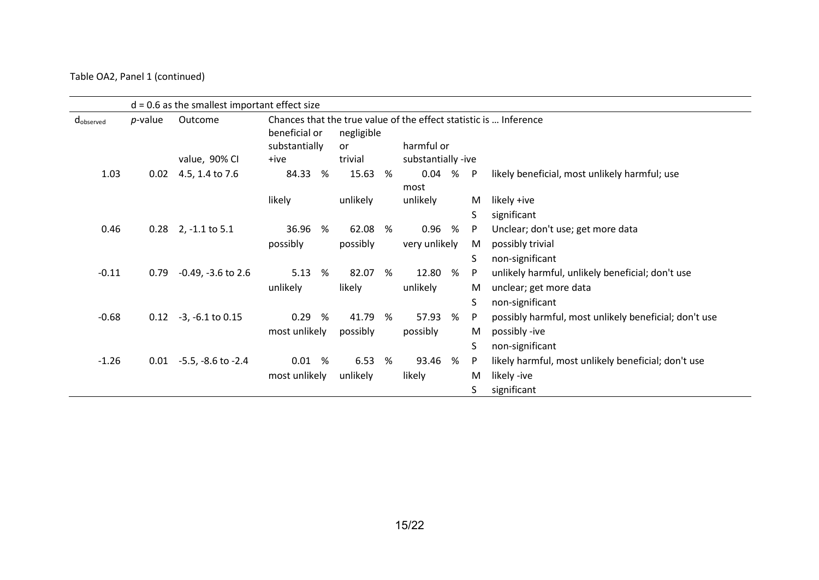#### Table OA2, Panel 1 (continued)

|                   |            | $d = 0.6$ as the smallest important effect size |                                |   |                                                                                                                |   |                    |   |              |                                                       |
|-------------------|------------|-------------------------------------------------|--------------------------------|---|----------------------------------------------------------------------------------------------------------------|---|--------------------|---|--------------|-------------------------------------------------------|
| <b>C</b> observed | $p$ -value | Outcome                                         | beneficial or<br>substantially |   | Chances that the true value of the effect statistic is  Inference<br>negligible<br>harmful or<br><sub>or</sub> |   |                    |   |              |                                                       |
|                   |            | value, 90% CI                                   | +ive                           |   | trivial                                                                                                        |   | substantially -ive |   |              |                                                       |
| 1.03              | 0.02       | 4.5, 1.4 to 7.6                                 | 84.33                          | % | 15.63                                                                                                          | % | 0.04<br>most       | % | $\mathsf{P}$ | likely beneficial, most unlikely harmful; use         |
|                   |            |                                                 | likely                         |   | unlikely                                                                                                       |   | unlikely           |   | M            | likely +ive                                           |
|                   |            |                                                 |                                |   |                                                                                                                |   |                    |   | S            | significant                                           |
| 0.46              |            | $0.28$ 2, -1.1 to 5.1                           | 36.96                          | % | 62.08                                                                                                          | % | 0.96               | % | P            | Unclear; don't use; get more data                     |
|                   |            |                                                 | possibly                       |   | possibly                                                                                                       |   | very unlikely      |   | M            | possibly trivial                                      |
|                   |            |                                                 |                                |   |                                                                                                                |   |                    |   | S            | non-significant                                       |
| $-0.11$           | 0.79       | $-0.49, -3.6$ to 2.6                            | 5.13                           | % | 82.07                                                                                                          | % | 12.80              | % | P            | unlikely harmful, unlikely beneficial; don't use      |
|                   |            |                                                 | unlikely                       |   | likely                                                                                                         |   | unlikely           |   | M            | unclear; get more data                                |
|                   |            |                                                 |                                |   |                                                                                                                |   |                    |   | S            | non-significant                                       |
| $-0.68$           | 0.12       | $-3, -6.1$ to $0.15$                            | 0.29                           | % | 41.79                                                                                                          | % | 57.93              | % | P            | possibly harmful, most unlikely beneficial; don't use |
|                   |            |                                                 | most unlikely                  |   | possibly                                                                                                       |   | possibly           |   | M            | possibly -ive                                         |
|                   |            |                                                 |                                |   |                                                                                                                |   |                    |   | S            | non-significant                                       |
| $-1.26$           | 0.01       | $-5.5, -8.6$ to $-2.4$                          | 0.01 %                         |   | 6.53                                                                                                           | % | 93.46              | % | P            | likely harmful, most unlikely beneficial; don't use   |
|                   |            |                                                 | most unlikely                  |   | unlikely                                                                                                       |   | likely             |   | M            | likely -ive                                           |
|                   |            |                                                 |                                |   |                                                                                                                |   |                    |   | S            | significant                                           |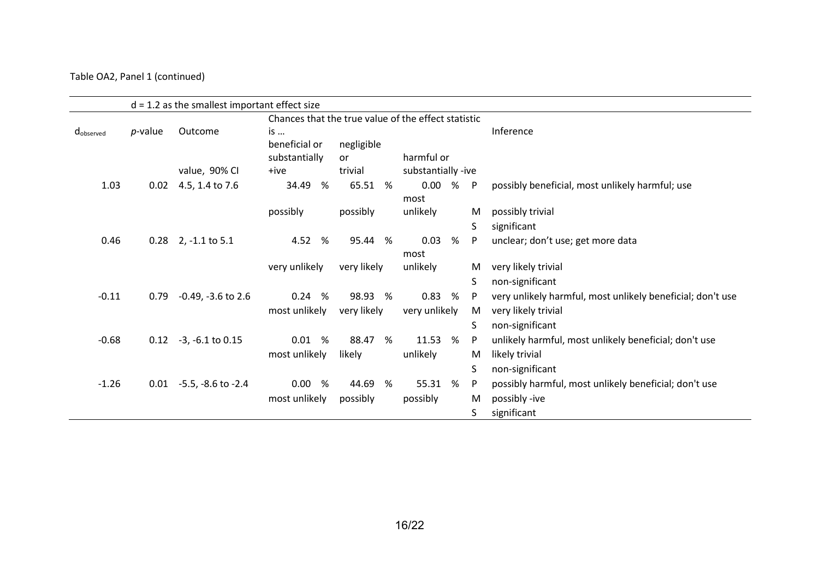#### Table OA2, Panel 1 (continued)

|           |                 | $d = 1.2$ as the smallest important effect size |                                                     |             |                    |   |    |                                                            |
|-----------|-----------------|-------------------------------------------------|-----------------------------------------------------|-------------|--------------------|---|----|------------------------------------------------------------|
|           |                 |                                                 | Chances that the true value of the effect statistic |             |                    |   |    |                                                            |
| dobserved | <i>p</i> -value | Outcome                                         | is                                                  |             |                    |   |    | Inference                                                  |
|           |                 |                                                 | beneficial or                                       | negligible  |                    |   |    |                                                            |
|           |                 |                                                 | substantially                                       | <b>or</b>   | harmful or         |   |    |                                                            |
|           |                 | value, 90% CI                                   | +ive                                                | trivial     | substantially -ive |   |    |                                                            |
| 1.03      | 0.02            | 4.5, 1.4 to 7.6                                 | %<br>34.49                                          | 65.51 %     | 0.00 % P<br>most   |   |    | possibly beneficial, most unlikely harmful; use            |
|           |                 |                                                 | possibly                                            | possibly    | unlikely           |   | M  | possibly trivial                                           |
|           |                 |                                                 |                                                     |             |                    |   | S  | significant                                                |
| 0.46      | 0.28            | $2, -1.1$ to 5.1                                | 4.52<br>%                                           | 95.44<br>%  | 0.03<br>most       | % | P. | unclear; don't use; get more data                          |
|           |                 |                                                 | very unlikely                                       | very likely | unlikely           |   | M  | very likely trivial                                        |
|           |                 |                                                 |                                                     |             |                    |   | S. | non-significant                                            |
| $-0.11$   | 0.79            | $-0.49$ , $-3.6$ to 2.6                         | 0.24%                                               | 98.93 %     | 0.83               | % | P  | very unlikely harmful, most unlikely beneficial; don't use |
|           |                 |                                                 | most unlikely                                       | very likely | very unlikely      |   | M  | very likely trivial                                        |
|           |                 |                                                 |                                                     |             |                    |   | S. | non-significant                                            |
| $-0.68$   | 0.12            | $-3, -6.1$ to 0.15                              | 0.01 %                                              | 88.47<br>%  | 11.53              | % | P  | unlikely harmful, most unlikely beneficial; don't use      |
|           |                 |                                                 | most unlikely                                       | likely      | unlikely           |   | M  | likely trivial                                             |
|           |                 |                                                 |                                                     |             |                    |   | S. | non-significant                                            |
| $-1.26$   | 0.01            | $-5.5$ , $-8.6$ to $-2.4$                       | 0.00<br>%                                           | 44.69<br>%  | 55.31              | % | P  | possibly harmful, most unlikely beneficial; don't use      |
|           |                 |                                                 | most unlikely                                       | possibly    | possibly           |   | M  | possibly -ive                                              |
|           |                 |                                                 |                                                     |             |                    |   | S. | significant                                                |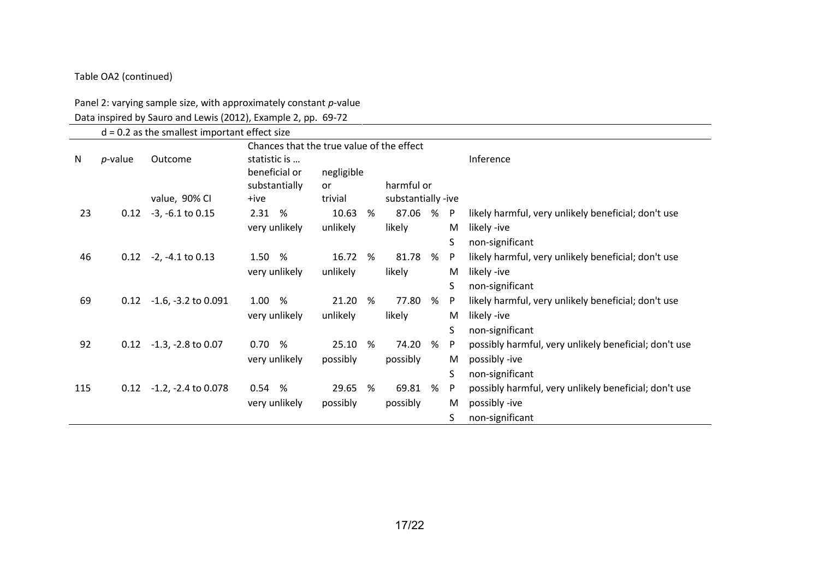## Table OA2 (continued)

#### Panel 2: varying sample size, with approximately constant *p*-value

Data inspired by Sauro and Lewis (2012), Example 2, pp. 69-72

|     |            | $d = 0.2$ as the smallest important effect size | Chances that the true value of the effect      |                         |   |                    |   |              |                                                       |
|-----|------------|-------------------------------------------------|------------------------------------------------|-------------------------|---|--------------------|---|--------------|-------------------------------------------------------|
| N   | $p$ -value | Outcome                                         | statistic is<br>beneficial or<br>substantially | negligible<br><b>or</b> |   | harmful or         |   |              | Inference                                             |
|     |            | value, 90% CI                                   | +ive                                           | trivial                 |   | substantially -ive |   |              |                                                       |
| 23  | 0.12       | $-3, -6.1$ to $0.15$                            | 2.31<br>%                                      | 10.63                   | % | 87.06              | % | $\mathsf{P}$ | likely harmful, very unlikely beneficial; don't use   |
|     |            |                                                 | very unlikely                                  | unlikely                |   | likely             |   | M            | likely -ive                                           |
|     |            |                                                 |                                                |                         |   |                    |   | S            | non-significant                                       |
| 46  | 0.12       | -2, -4.1 to 0.13                                | 1.50<br>%                                      | 16.72                   | % | 81.78              | % | P            | likely harmful, very unlikely beneficial; don't use   |
|     |            |                                                 | very unlikely                                  | unlikely                |   | likely             |   | M            | likely -ive                                           |
|     |            |                                                 |                                                |                         |   |                    |   | S            | non-significant                                       |
| 69  | 0.12       | $-1.6$ , $-3.2$ to 0.091                        | 1.00<br>%                                      | 21.20                   | % | 77.80              | % | P            | likely harmful, very unlikely beneficial; don't use   |
|     |            |                                                 | very unlikely                                  | unlikely                |   | likely             |   | M            | likely -ive                                           |
|     |            |                                                 |                                                |                         |   |                    |   | S            | non-significant                                       |
| 92  | 0.12       | -1.3, -2.8 to 0.07                              | 0.70<br>%                                      | 25.10                   | % | 74.20              | % | P.           | possibly harmful, very unlikely beneficial; don't use |
|     |            |                                                 | very unlikely                                  | possibly                |   | possibly           |   | M            | possibly -ive                                         |
|     |            |                                                 |                                                |                         |   |                    |   | S            | non-significant                                       |
| 115 | 0.12       | $-1.2$ , $-2.4$ to 0.078                        | 0.54%                                          | 29.65                   | % | 69.81              | % | P            | possibly harmful, very unlikely beneficial; don't use |
|     |            |                                                 | very unlikely                                  | possibly                |   | possibly           |   | M            | possibly -ive                                         |
|     |            |                                                 |                                                |                         |   |                    |   | S            | non-significant                                       |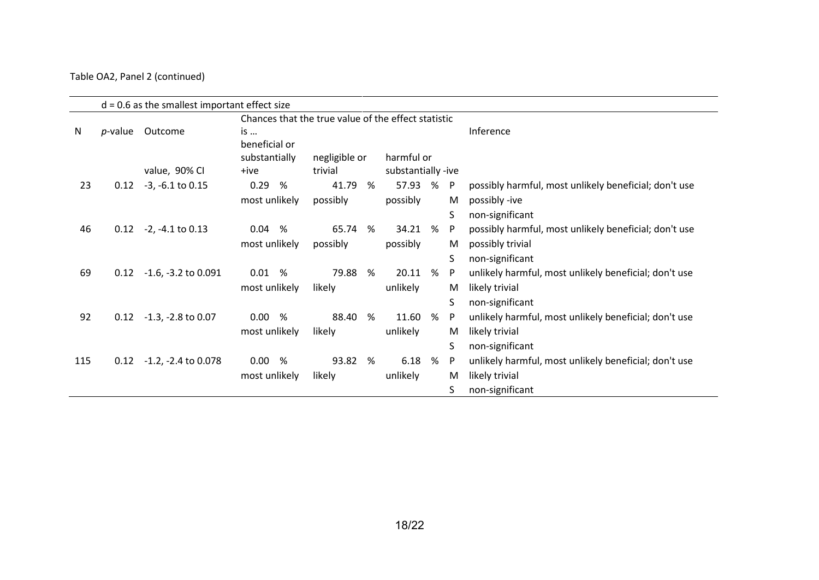#### Table OA2, Panel 2 (continued)

|     |         |                            | Chances that the true value of the effect statistic |                          |   |                                  |   |              |                                                       |
|-----|---------|----------------------------|-----------------------------------------------------|--------------------------|---|----------------------------------|---|--------------|-------------------------------------------------------|
| N   | p-value | Outcome                    | is<br>beneficial or                                 |                          |   |                                  |   |              | Inference                                             |
|     |         | value, 90% CI              | substantially<br>+ive                               | negligible or<br>trivial |   | harmful or<br>substantially -ive |   |              |                                                       |
| 23  | 0.12    | $-3, -6.1$ to $0.15$       | 0.29<br>%                                           | 41.79                    | % | 57.93                            | % | $\mathsf{P}$ | possibly harmful, most unlikely beneficial; don't use |
|     |         |                            | most unlikely                                       | possibly                 |   | possibly                         |   | M            | possibly -ive                                         |
|     |         |                            |                                                     |                          |   |                                  |   | S            | non-significant                                       |
| 46  |         | $0.12 -2$ , -4.1 to 0.13   | 0.04<br>%                                           | 65.74                    | % | 34.21                            | % | P            | possibly harmful, most unlikely beneficial; don't use |
|     |         |                            | most unlikely                                       | possibly                 |   | possibly                         |   | M            | possibly trivial                                      |
|     |         |                            |                                                     |                          |   |                                  |   | S.           | non-significant                                       |
| 69  | 0.12    | $-1.6, -3.2$ to $0.091$    | 0.01<br>%                                           | 79.88                    | % | 20.11                            | % | P            | unlikely harmful, most unlikely beneficial; don't use |
|     |         |                            | most unlikely                                       | likely                   |   | unlikely                         |   | M            | likely trivial                                        |
|     |         |                            |                                                     |                          |   |                                  |   | S            | non-significant                                       |
| 92  |         | $0.12 -1.3$ , -2.8 to 0.07 | 0.00<br>%                                           | 88.40                    | % | 11.60                            | % | P            | unlikely harmful, most unlikely beneficial; don't use |
|     |         |                            | most unlikely                                       | likely                   |   | unlikely                         |   | M            | likely trivial                                        |
|     |         |                            |                                                     |                          |   |                                  |   | S            | non-significant                                       |
| 115 | 0.12    | $-1.2$ , $-2.4$ to 0.078   | 0.00<br>%                                           | 93.82                    | % | 6.18                             | % | P            | unlikely harmful, most unlikely beneficial; don't use |
|     |         |                            | most unlikely                                       | likely                   |   | unlikely                         |   | M            | likely trivial                                        |
|     |         |                            |                                                     |                          |   |                                  |   | S.           | non-significant                                       |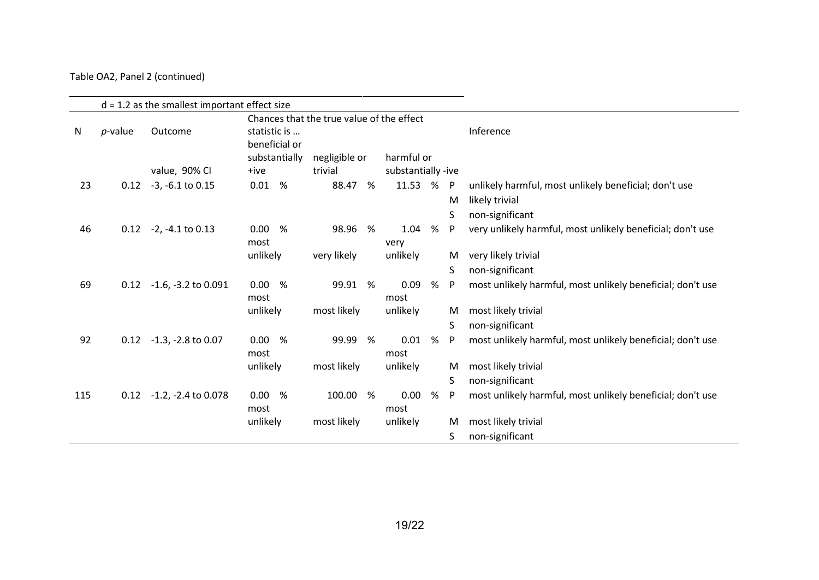### Table OA2, Panel 2 (continued)

|     |            | $d = 1.2$ as the smallest important effect size | Chances that the true value of the effect      |               |   |                    |   |                   |                                                                         |
|-----|------------|-------------------------------------------------|------------------------------------------------|---------------|---|--------------------|---|-------------------|-------------------------------------------------------------------------|
| N   | $p$ -value | Outcome                                         | statistic is<br>beneficial or<br>substantially | negligible or |   | harmful or         |   |                   | Inference                                                               |
|     |            | value, 90% CI                                   | +ive                                           | trivial       |   | substantially -ive |   |                   |                                                                         |
| 23  | 0.12       | $-3, -6.1$ to 0.15                              | 0.01 %                                         | 88.47         | % | 11.53 %            |   | $\mathsf{P}$<br>M | unlikely harmful, most unlikely beneficial; don't use<br>likely trivial |
|     |            |                                                 |                                                |               |   |                    |   | S.                | non-significant                                                         |
| 46  | 0.12       | $-2, -4.1$ to $0.13$                            | 0.00%<br>most                                  | 98.96 %       |   | 1.04<br>very       | % | P                 | very unlikely harmful, most unlikely beneficial; don't use              |
|     |            |                                                 | unlikely                                       | very likely   |   | unlikely           |   | M                 | very likely trivial                                                     |
|     |            |                                                 |                                                |               |   |                    |   | S.                | non-significant                                                         |
| 69  | 0.12       | $-1.6$ , $-3.2$ to 0.091                        | 0.00<br>%<br>most                              | 99.91 %       |   | 0.09<br>most       | % | P                 | most unlikely harmful, most unlikely beneficial; don't use              |
|     |            |                                                 | unlikely                                       | most likely   |   | unlikely           |   | M                 | most likely trivial                                                     |
|     |            |                                                 |                                                |               |   |                    |   | S.                | non-significant                                                         |
| 92  | 0.12       | $-1.3$ , $-2.8$ to 0.07                         | 0.00%<br>most                                  | 99.99 %       |   | 0.01<br>most       | % | P                 | most unlikely harmful, most unlikely beneficial; don't use              |
|     |            |                                                 | unlikely                                       | most likely   |   | unlikely           |   | M                 | most likely trivial                                                     |
|     |            |                                                 |                                                |               |   |                    |   | S                 | non-significant                                                         |
| 115 | 0.12       | $-1.2$ , $-2.4$ to 0.078                        | 0.00<br>%<br>most                              | 100.00 %      |   | 0.00<br>most       | % | P                 | most unlikely harmful, most unlikely beneficial; don't use              |
|     |            |                                                 | unlikely                                       | most likely   |   | unlikely           |   | M                 | most likely trivial                                                     |
|     |            |                                                 |                                                |               |   |                    |   | S                 | non-significant                                                         |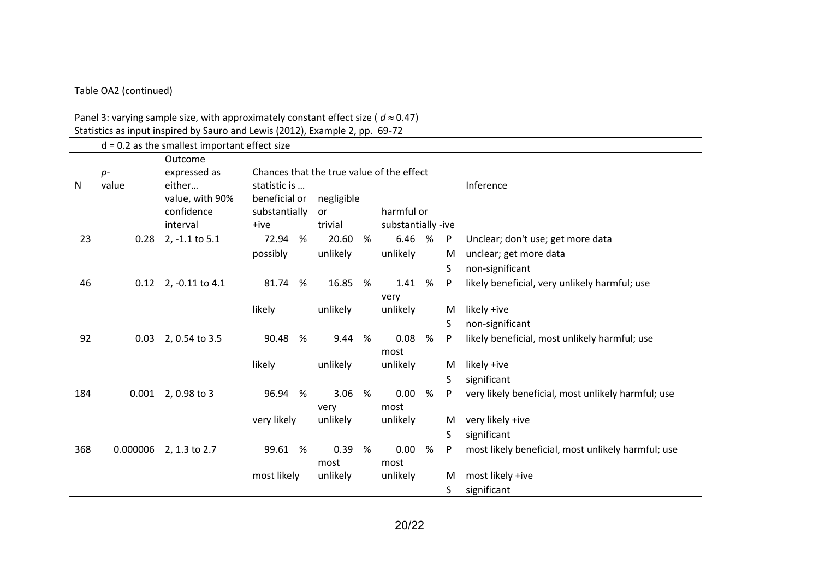#### Table OA2 (continued)

#### Panel 3: varying sample size, with approximately constant effect size ( $d \approx 0.47$ ) Statistics as input inspired by Sauro and Lewis (2012), Example 2, pp. 69-72

|     |               | $d = 0.2$ as the smallest important effect size                    |                                                                                             |                         |   |                    |      |    |                                                    |
|-----|---------------|--------------------------------------------------------------------|---------------------------------------------------------------------------------------------|-------------------------|---|--------------------|------|----|----------------------------------------------------|
| N   | $p-$<br>value | Outcome<br>expressed as<br>either<br>value, with 90%<br>confidence | Chances that the true value of the effect<br>statistic is<br>beneficial or<br>substantially | negligible<br><b>or</b> |   | harmful or         |      |    | Inference                                          |
|     |               | interval                                                           | +ive                                                                                        | trivial                 |   | substantially -ive |      |    |                                                    |
| 23  | 0.28          | 2, -1.1 to 5.1                                                     | 72.94<br>%                                                                                  | 20.60                   | % | 6.46               | %    | P  | Unclear; don't use; get more data                  |
|     |               |                                                                    | possibly                                                                                    | unlikely                |   | unlikely           |      | M  | unclear; get more data                             |
|     |               |                                                                    |                                                                                             |                         |   |                    |      | S  | non-significant                                    |
| 46  | 0.12          | 2, -0.11 to 4.1                                                    | 81.74<br>%                                                                                  | 16.85 %                 |   | 1.41               | $\%$ | P  | likely beneficial, very unlikely harmful; use      |
|     |               |                                                                    |                                                                                             |                         |   | very               |      |    |                                                    |
|     |               |                                                                    | likely                                                                                      | unlikely                |   | unlikely           |      | M  | likely +ive                                        |
|     |               |                                                                    |                                                                                             |                         |   |                    |      | S. | non-significant                                    |
| 92  | 0.03          | 2, 0.54 to 3.5                                                     | 90.48<br>%                                                                                  | 9.44                    | % | 0.08<br>most       | $\%$ | P  | likely beneficial, most unlikely harmful; use      |
|     |               |                                                                    | likely                                                                                      | unlikely                |   | unlikely           |      | M  | likely +ive                                        |
|     |               |                                                                    |                                                                                             |                         |   |                    |      | S  | significant                                        |
| 184 | 0.001         | 2,0.98 to 3                                                        | 96.94<br>%                                                                                  | 3.06<br>very            | % | 0.00<br>most       | %    | P  | very likely beneficial, most unlikely harmful; use |
|     |               |                                                                    | very likely                                                                                 | unlikely                |   | unlikely           |      | M  | very likely +ive                                   |
|     |               |                                                                    |                                                                                             |                         |   |                    |      | S. | significant                                        |
| 368 | 0.000006      | 2, 1.3 to 2.7                                                      | 99.61 %                                                                                     | 0.39                    | % | 0.00               | %    | P  | most likely beneficial, most unlikely harmful; use |
|     |               |                                                                    |                                                                                             | most                    |   | most               |      |    |                                                    |
|     |               |                                                                    | most likely                                                                                 | unlikely                |   | unlikely           |      | M  | most likely +ive                                   |
|     |               |                                                                    |                                                                                             |                         |   |                    |      | S  | significant                                        |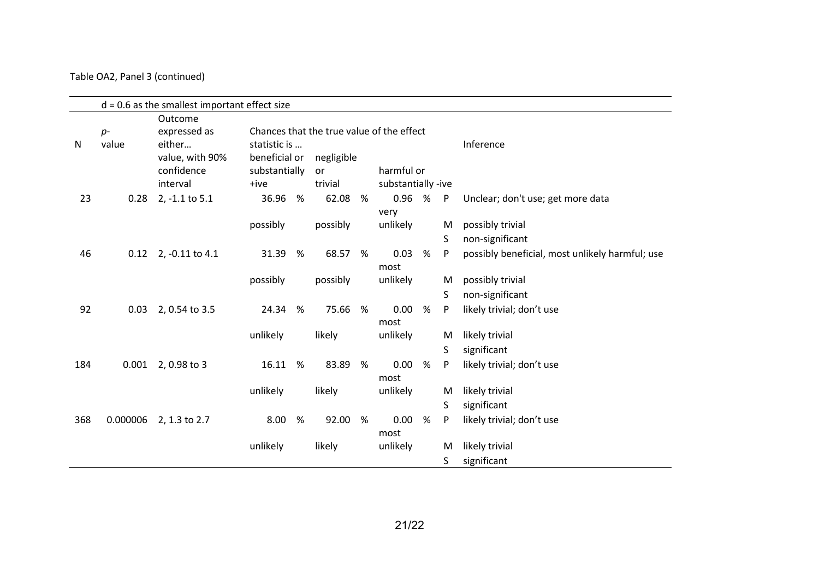#### Table OA2, Panel 3 (continued)

|              |          | $d = 0.6$ as the smallest important effect size     |                                                        |   |                                           |   |                                  |   |              |                                                 |
|--------------|----------|-----------------------------------------------------|--------------------------------------------------------|---|-------------------------------------------|---|----------------------------------|---|--------------|-------------------------------------------------|
|              | $p-$     | Outcome<br>expressed as                             |                                                        |   | Chances that the true value of the effect |   |                                  |   |              |                                                 |
| $\mathsf{N}$ | value    | either<br>value, with 90%<br>confidence<br>interval | statistic is<br>beneficial or<br>substantially<br>+ive |   | negligible<br>or<br>trivial               |   | harmful or<br>substantially -ive |   |              | Inference                                       |
| 23           | 0.28     | 2, -1.1 to 5.1                                      | 36.96                                                  | % | 62.08                                     | % | 0.96 %                           |   | $\mathsf{P}$ | Unclear; don't use; get more data               |
|              |          |                                                     | possibly                                               |   | possibly                                  |   | very<br>unlikely                 |   | M<br>S       | possibly trivial<br>non-significant             |
| 46           |          | 0.12 2, -0.11 to 4.1                                | 31.39                                                  | % | 68.57 %                                   |   | 0.03                             | % | P            | possibly beneficial, most unlikely harmful; use |
|              |          |                                                     | possibly                                               |   | possibly                                  |   | most<br>unlikely                 |   | M<br>S       | possibly trivial<br>non-significant             |
| 92           | 0.03     | 2, 0.54 to 3.5                                      | 24.34                                                  | % | 75.66                                     | % | 0.00<br>most                     | % | P            | likely trivial; don't use                       |
|              |          |                                                     | unlikely                                               |   | likely                                    |   | unlikely                         |   | M<br>S       | likely trivial<br>significant                   |
| 184          | 0.001    | 2,0.98 to 3                                         | 16.11                                                  | % | 83.89                                     | % | 0.00<br>most                     | % | P            | likely trivial; don't use                       |
|              |          |                                                     | unlikely                                               |   | likely                                    |   | unlikely                         |   | M            | likely trivial                                  |
|              |          |                                                     |                                                        |   |                                           |   |                                  |   | S            | significant                                     |
| 368          | 0.000006 | 2, 1.3 to 2.7                                       | 8.00                                                   | % | 92.00                                     | % | 0.00                             | % | P            | likely trivial; don't use                       |
|              |          |                                                     | unlikely                                               |   | likely                                    |   | most<br>unlikely                 |   | M<br>S       | likely trivial<br>significant                   |